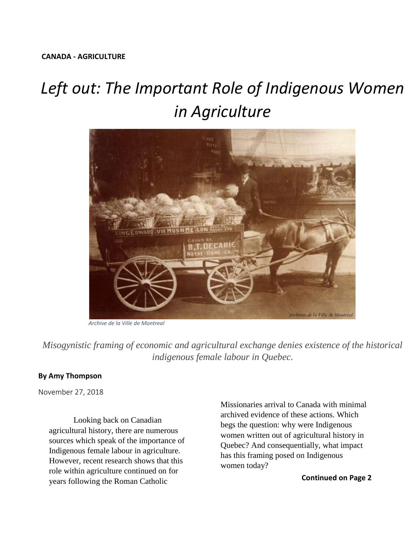## *Left out: The Important Role of Indigenous Women in Agriculture*



*Archive de la Ville de Montreal* 

*Misogynistic framing of economic and agricultural exchange denies existence of the historical indigenous female labour in Quebec.*

## **By Amy Thompson**

November 27, 2018

Looking back on Canadian agricultural history, there are numerous sources which speak of the importance of Indigenous female labour in agriculture. However, recent research shows that this role within agriculture continued on for years following the Roman Catholic

Missionaries arrival to Canada with minimal archived evidence of these actions. Which begs the question: why were Indigenous women written out of agricultural history in Quebec? And consequentially, what impact has this framing posed on Indigenous women today?

**Continued on Page 2**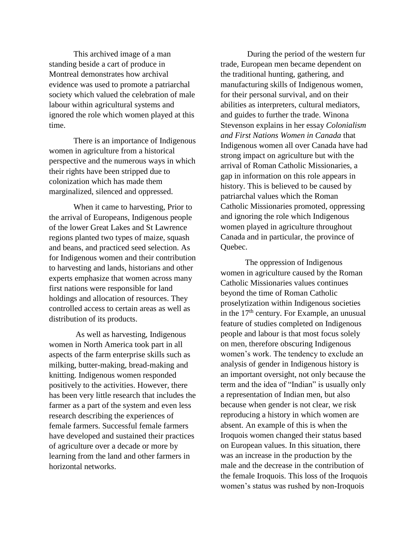This archived image of a man standing beside a cart of produce in Montreal demonstrates how archival evidence was used to promote a patriarchal society which valued the celebration of male labour within agricultural systems and ignored the role which women played at this time.

There is an importance of Indigenous women in agriculture from a historical perspective and the numerous ways in which their rights have been stripped due to colonization which has made them marginalized, silenced and oppressed.

When it came to harvesting, Prior to the arrival of Europeans, Indigenous people of the lower Great Lakes and St Lawrence regions planted two types of maize, squash and beans, and practiced seed selection. As for Indigenous women and their contribution to harvesting and lands, historians and other experts emphasize that women across many first nations were responsible for land holdings and allocation of resources. They controlled access to certain areas as well as distribution of its products.

As well as harvesting, Indigenous women in North America took part in all aspects of the farm enterprise skills such as milking, butter-making, bread-making and knitting. Indigenous women responded positively to the activities. However, there has been very little research that includes the farmer as a part of the system and even less research describing the experiences of female farmers. Successful female farmers have developed and sustained their practices of agriculture over a decade or more by learning from the land and other farmers in horizontal networks.

During the period of the western fur trade, European men became dependent on the traditional hunting, gathering, and manufacturing skills of Indigenous women, for their personal survival, and on their abilities as interpreters, cultural mediators, and guides to further the trade. Winona Stevenson explains in her essay *Colonialism and First Nations Women in Canada* that Indigenous women all over Canada have had strong impact on agriculture but with the arrival of Roman Catholic Missionaries, a gap in information on this role appears in history. This is believed to be caused by patriarchal values which the Roman Catholic Missionaries promoted, oppressing and ignoring the role which Indigenous women played in agriculture throughout Canada and in particular, the province of Quebec.

The oppression of Indigenous women in agriculture caused by the Roman Catholic Missionaries values continues beyond the time of Roman Catholic proselytization within Indigenous societies in the  $17<sup>th</sup>$  century. For Example, an unusual feature of studies completed on Indigenous people and labour is that most focus solely on men, therefore obscuring Indigenous women's work. The tendency to exclude an analysis of gender in Indigenous history is an important oversight, not only because the term and the idea of "Indian" is usually only a representation of Indian men, but also because when gender is not clear, we risk reproducing a history in which women are absent. An example of this is when the Iroquois women changed their status based on European values. In this situation, there was an increase in the production by the male and the decrease in the contribution of the female Iroquois. This loss of the Iroquois women's status was rushed by non-Iroquois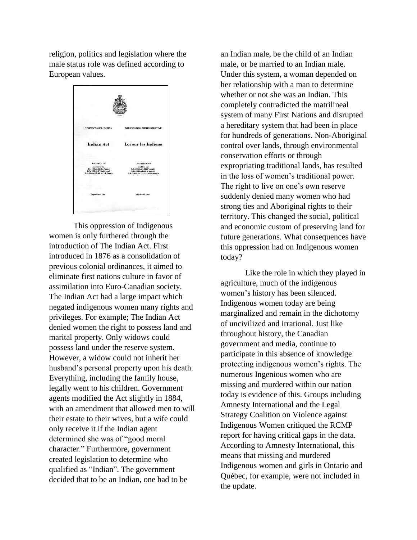religion, politics and legislation where the male status role was defined according to European values.



This oppression of Indigenous women is only furthered through the introduction of The Indian Act. First introduced in 1876 as a consolidation of previous colonial ordinances, it aimed to eliminate first nations culture in favor of assimilation into Euro-Canadian society. The Indian Act had a large impact which negated indigenous women many rights and privileges. For example; The Indian Act denied women the right to possess land and marital property. Only widows could possess land under the reserve system. However, a widow could not inherit her husband's personal property upon his death. Everything, including the family house, legally went to his children. Government agents modified the Act slightly in 1884, with an amendment that allowed men to will their estate to their wives, but a wife could only receive it if the Indian agent determined she was of "good moral character." Furthermore, government created legislation to determine who qualified as "Indian". The government decided that to be an Indian, one had to be

an Indian male, be the child of an Indian male, or be married to an Indian male. Under this system, a woman depended on her relationship with a man to determine whether or not she was an Indian. This completely contradicted the matrilineal system of many First Nations and disrupted a hereditary system that had been in place for hundreds of generations. Non-Aboriginal control over lands, through environmental conservation efforts or through expropriating traditional lands, has resulted in the loss of women's traditional power. The right to live on one's own reserve suddenly denied many women who had strong ties and Aboriginal rights to their territory. This changed the social, political and economic custom of preserving land for future generations. What consequences have this oppression had on Indigenous women today?

Like the role in which they played in agriculture, much of the indigenous women's history has been silenced. Indigenous women today are being marginalized and remain in the dichotomy of uncivilized and irrational. Just like throughout history, the Canadian government and media, continue to participate in this absence of knowledge protecting indigenous women's rights. The numerous Ingenious women who are missing and murdered within our nation today is evidence of this. Groups including Amnesty International and the Legal Strategy Coalition on Violence against Indigenous Women critiqued the RCMP report for having critical gaps in the data. According to Amnesty International, this means that missing and murdered Indigenous women and girls in Ontario and Québec, for example, were not included in the update.